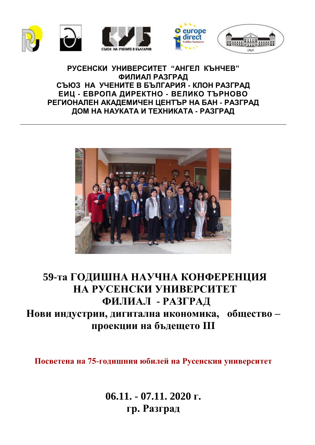







#### **РУСЕНСКИ УНИВЕРСИТЕТ "АНГЕЛ КЪНЧЕВ" ФИЛИАЛ РАЗГРАД СЪЮЗ НА УЧЕНИТЕ В БЪЛГАРИЯ - КЛОН РАЗГРАД ЕИЦ - ЕВРОПА ДИРЕКТНО - ВЕЛИКО ТЪРНОВО РЕГИОНАЛЕН АКАДЕМИЧЕН ЦЕНТЪР НА БАН - РАЗГРАД ДОМ НА НАУКАТА И ТЕХНИКАТА - РАЗГРАД**



## **59-та ГОДИШНА НАУЧНА КОНФЕРЕНЦИЯ** НА РУСЕНСКИ УНИВЕРСИТЕТ **ФИЛИАЛ - РАЗГРАД Нови индустрии, дигитална икономика, общество – проекции на бъдещето III**

**Посветена на 75-годишния юбилей на Русенския университет**

**06.11. - 07.11. 2020 г. гр. Разград**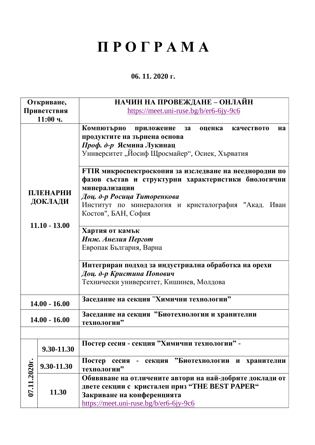# **П Р О Г Р А М А**

#### **06. 11. 2020 г.**

| https://meet.uni-ruse.bg/b/er6-6jy-9c6<br>Приветствия<br>11:00 ч.<br>Компютърно приложение за<br>оценка<br>качеството<br>продуктите на зърнена основа<br>Проф. д-р Ясмина Лукинац<br>Университет, Йосиф Щросмайер", Осиек, Хърватия<br>FTIR микроспектроскопия за изследване на нееднородни по<br>фазов състав и структурни характеристики биологични<br>минерализации<br>ПЛЕНАРНИ<br>Доц. д-р Росица Титоренкова<br>ДОКЛАДИ<br>Институт по минералогия и кристалография "Акад. Иван<br>Костов", БАН, София<br>$11.10 - 13.00$<br>Хартия от камък<br>Инж. Анелия Пергот<br>Европак България, Варна<br>Интегриран подход за индустриална обработка на орехи<br>Доц. д-р Кристина Попович<br>Технически университет, Кишинев, Молдова | на |
|-------------------------------------------------------------------------------------------------------------------------------------------------------------------------------------------------------------------------------------------------------------------------------------------------------------------------------------------------------------------------------------------------------------------------------------------------------------------------------------------------------------------------------------------------------------------------------------------------------------------------------------------------------------------------------------------------------------------------------------|----|
|                                                                                                                                                                                                                                                                                                                                                                                                                                                                                                                                                                                                                                                                                                                                     |    |
|                                                                                                                                                                                                                                                                                                                                                                                                                                                                                                                                                                                                                                                                                                                                     |    |
|                                                                                                                                                                                                                                                                                                                                                                                                                                                                                                                                                                                                                                                                                                                                     |    |
|                                                                                                                                                                                                                                                                                                                                                                                                                                                                                                                                                                                                                                                                                                                                     |    |
|                                                                                                                                                                                                                                                                                                                                                                                                                                                                                                                                                                                                                                                                                                                                     |    |
|                                                                                                                                                                                                                                                                                                                                                                                                                                                                                                                                                                                                                                                                                                                                     |    |
| Заседание на секция "Химични технологии"<br>$14.00 - 16.00$                                                                                                                                                                                                                                                                                                                                                                                                                                                                                                                                                                                                                                                                         |    |
| Заседание на секция "Биотехнологии и хранителни<br>$14.00 - 16.00$<br>технологии"                                                                                                                                                                                                                                                                                                                                                                                                                                                                                                                                                                                                                                                   |    |
|                                                                                                                                                                                                                                                                                                                                                                                                                                                                                                                                                                                                                                                                                                                                     |    |
| Постер сесия - секция "Химични технологии" -<br>9.30-11.30                                                                                                                                                                                                                                                                                                                                                                                                                                                                                                                                                                                                                                                                          |    |
| Постер сесия - секция "Биотехнологии и хранителни<br>9.30-11.30<br>технологии"                                                                                                                                                                                                                                                                                                                                                                                                                                                                                                                                                                                                                                                      |    |
| 07.11.2020r.<br>Обявяване на отличените автори на най-добрите доклади от<br>двете секции с кристален приз "THE BEST PAPER"<br>11.30<br>Закриване на конференцията<br>https://meet.uni-ruse.bg/b/er6-6jy-9c6                                                                                                                                                                                                                                                                                                                                                                                                                                                                                                                         |    |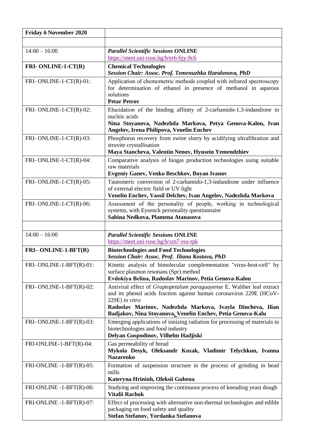| <b>Friday 6 November 2020</b> |                                                                                                                                                                                                                                                                                              |
|-------------------------------|----------------------------------------------------------------------------------------------------------------------------------------------------------------------------------------------------------------------------------------------------------------------------------------------|
|                               |                                                                                                                                                                                                                                                                                              |
| $14:00 - 16:00$               | <b>Parallel Scientific Sessions ONLINE</b>                                                                                                                                                                                                                                                   |
|                               | https://meet.uni-ruse.bg/b/er6-6jy-9c6                                                                                                                                                                                                                                                       |
| <b>FRI-ONLINE-1-CT(R)</b>     | <b>Chemical Technologies</b><br>Session Chair: Assoc. Prof. Temenuzhka Haralanova, PhD                                                                                                                                                                                                       |
| FRI-ONLINE-1-CT(R)-01:        | Application of chemometric methods coupled with infrared spectroscopy<br>for determination of ethanol in presence of methanol in aqueous<br>solutions<br><b>Petar Petrov</b>                                                                                                                 |
| FRI-ONLINE-1-CT(R)-02:        | Elucidation of the binding affinity of 2-carbamido-1,3-indandione to<br>nucleic acids<br>Nina Stoyanova, Nadezhda Markova, Petya Genova-Kalou, Ivan<br>Angelov, Irena Philipova, Venelin Enchev                                                                                              |
| FRI-ONLINE-1-CT(R)-03:        | Phosphorus recovery from swine slurry by acidifying ultrafiltration and<br>struvite crystallisation<br>Maya Stancheva, Valentin Nenov, Hyusein Yemendzhiev                                                                                                                                   |
| FRI-ONLINE-1-CT(R)-04:        | Comparative analysis of biogas production technologies using suitable<br>raw materials<br>Evgeniy Ganev, Venko Beschkov, Boyan Ivanov                                                                                                                                                        |
| FRI-ONLINE-1-CT(R)-05:        | Tautomeric conversion of 2-carbamido-1,3-indandione under influence<br>of external electric field or UV light<br>Venelin Enchev, Vassil Delchev, Ivan Angelov, Nadezhda Markova                                                                                                              |
| FRI-ONLINE-1-CT(R)-06:        | Assessment of the personality of people, working in technological<br>systems, with Eysenck personality questionnaire<br>Sabina Nedkova, Plamena Atanasova                                                                                                                                    |
|                               |                                                                                                                                                                                                                                                                                              |
| $14:00 - 16:00$               | <b>Parallel Scientific Sessions ONLINE</b><br>https://meet.uni-ruse.bg/b/xm7-rea-tpk                                                                                                                                                                                                         |
| FRI-ONLINE-1-BFT(R)           | <b>Biotechnologies and Food Technologies</b><br>Session Chair: Assoc. Prof. Iliana Kostova, PhD                                                                                                                                                                                              |
| FRI-ONLINE-1-BFT(R)-01:       | Kinetic analysis of bimolecular complementation "virus-host-cell" by<br>surface plasmon resonans (Spr) method<br>Evdokiya Belina, Radoslav Marinov, Petia Genova-Kalou                                                                                                                       |
| FRI-ONLINE-1-BFT(R)-02:       | Antiviral effect of Graptopetalum paraguayense E. Walther leaf extract<br>and its phenol acids fraction against human coronavirus 229E (HCoV-<br>229E) in vitro<br>Radoslav Marinov, Nadezhda Markova, Ivayla Dincheva, Ilian<br>Badjakov, Nina Stoyanova, Venelin Enchev, Petia Genova-Kalu |
| FRI-ONLINE-1-BFT(R)-03:       | Emerging applications of ionizing radiation for processing of materials in<br>biotechnologies and food industry<br>Delyan Gospodinov, Vilhelm Hadjiski                                                                                                                                       |
| FRI-ONLINE-1-BFT(R)-04:       | Gas permeability of bread<br>Mykola Desyk, Oleksandr Kozak, Vladimir Telychkun, Ivanna<br><b>Nazarenko</b>                                                                                                                                                                                   |
| FRI-ONLINE -1-BFT(R)-05:      | Formation of suspension structure in the process of grinding in bead<br>mills<br>Kateryna Hrininh, Oleksii Gubena                                                                                                                                                                            |
| FRI-ONLINE -1-BFT(R)-06:      | Studying and improving the continuous process of kneading yeast dough<br><b>Vitalii Rachok</b>                                                                                                                                                                                               |
| FRI-ONLINE -1-BFT(R)-07:      | Effect of processing with alternative non-thermal technologies and edible<br>packaging on food safety and quality<br>Stefan Stefanov, Yordanka Stefanova                                                                                                                                     |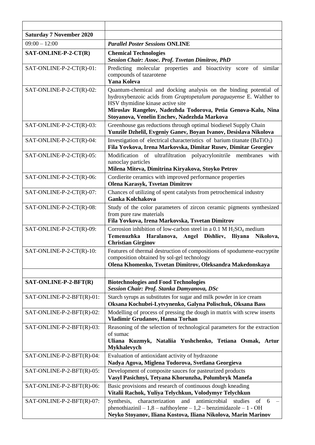| <b>Saturday 7 November 2020</b> |                                                                                                                                                                                                                                                                                             |
|---------------------------------|---------------------------------------------------------------------------------------------------------------------------------------------------------------------------------------------------------------------------------------------------------------------------------------------|
| $09:00 - 12:00$                 | <b>Parallel Poster Sessions ONLINE</b>                                                                                                                                                                                                                                                      |
| SAT-ONLINE-P-2-CT(R)            | <b>Chemical Technologies</b><br>Session Chair: Assoc. Prof. Tsvetan Dimitrov, PhD                                                                                                                                                                                                           |
| SAT-ONLINE-P-2-CT(R)-01:        | Predicting molecular properties and bioactivity score of similar<br>compounds of tazarotene<br><b>Yana Koleva</b>                                                                                                                                                                           |
| SAT-ONLINE-P-2-CT(R)-02:        | Quantum-chemical and docking analysis on the binding potential of<br>hydroxybenzoic acids from Graptopetalum paraguayense E. Walther to<br>HSV thymidine kinase active site<br>Miroslav Rangelov, Nadezhda Todorova, Petia Genova-Kalu, Nina<br>Stoyanova, Venelin Enchev, Nadezhda Markova |
| SAT-ONLINE-P-2-CT(R)-03:        | Greenhouse gas reductions through optimal biodiesel Supply Chain<br>Yunzile Dzhelil, Evgeniy Ganev, Boyan Ivanov, Desislava Nikolova                                                                                                                                                        |
| SAT-ONLINE-P-2-CT(R)-04:        | Investigation of electrical characteristics of barium titanate $(BaTiO3)$<br>Fila Yovkova, Irena Markovska, Dimitar Rusev, Dimitar Georgiev                                                                                                                                                 |
| SAT-ONLINE-P-2-CT(R)-05:        | Modification of ultrafiltration polyacrylonitrile membranes with<br>nanoclay particles<br>Milena Miteva, Dimitrina Kiryakova, Stoyko Petrov                                                                                                                                                 |
| SAT-ONLINE-P-2-CT(R)-06:        | Cordierite ceramics with improved performance properties<br><b>Olena Karasyk, Tsvetan Dimitrov</b>                                                                                                                                                                                          |
| SAT-ONLINE-P-2-CT(R)-07:        | Chances of utilizing of spent catalysts from petrochemical industry<br><b>Ganka Kolchakova</b>                                                                                                                                                                                              |
| SAT-ONLINE-P-2-CT(R)-08:        | Study of the color parameters of zircon ceramic pigments synthesized<br>from pure raw materials<br>Fila Yovkova, Irena Markovska, Tsvetan Dimitrov                                                                                                                                          |
| SAT-ONLINE-P-2-CT(R)-09:        | Corrosion inhibition of low-carbon steel in a 0.1 M $H_2SO_4$ medium<br>Temenuzhka Haralanova, Angel Dishliev, Iliyana<br>Nikolova,<br><b>Christian Girginov</b>                                                                                                                            |
| SAT-ONLINE-P-2-CT(R)-10:        | Features of thermal destruction of compositions of spodumene-eucryptite<br>composition obtained by sol-gel technology<br>Olena Khomenko, Tsvetan Dimitrov, Oleksandra Makedonskaya                                                                                                          |
|                                 |                                                                                                                                                                                                                                                                                             |
| SAT-ONLINE-P-2-BFT(R)           | <b>Biotechnologies and Food Technologies</b><br>Session Chair: Prof. Stanka Damyanova, DSc                                                                                                                                                                                                  |
| SAT-ONLINE-P-2-BFT(R)-01:       | Starch syrups as substitutes for sugar and milk powder in ice cream<br>Oksana Kochubei-Lytvynenko, Galyna Polischuk, Oksana Bass                                                                                                                                                            |
| SAT-ONLINE-P-2-BFT(R)-02:       | Modelling of process of pressing the dough in matrix with screw inserts<br>Vladimir Grudanov, Hanna Torhan                                                                                                                                                                                  |
| SAT-ONLINE-P-2-BFT(R)-03:       | Reasoning of the selection of technological parameters for the extraction<br>of sumac<br>Uliana Kuzmyk, Nataliia Yushchenko, Tetiana Osmak, Artur<br>Mykhalevych                                                                                                                            |
| SAT-ONLINE-P-2-BFT(R)-04:       | Evaluation of antioxidant activity of hydrazone<br>Nadya Agova, Miglena Todorova, Svetlana Georgieva                                                                                                                                                                                        |
| SAT-ONLINE-P-2-BFT(R)-05:       | Development of composite sauces for pasteurized products<br>Vasyl Pasichnyi, Tetyana Khorunzha, Polumbryk Manefa                                                                                                                                                                            |
| SAT-ONLINE-P-2-BFT(R)-06:       | Basic provisions and research of continuous dough kneading<br>Vitalii Rachok, Yuliya Telychkun, Volodymyr Telychkun                                                                                                                                                                         |
| SAT-ONLINE-P-2-BFT(R)-07:       | characterization<br>antimicrobial<br>of<br>Synthesis,<br>and<br>studies<br>6<br>phenothiazinil $-1,8$ – nafthoylene $-1,2$ – benzimidazole – 1 - OH<br>Neyko Stoyanov, Iliana Kostova, Iliana Nikolova, Marin Marinov                                                                       |